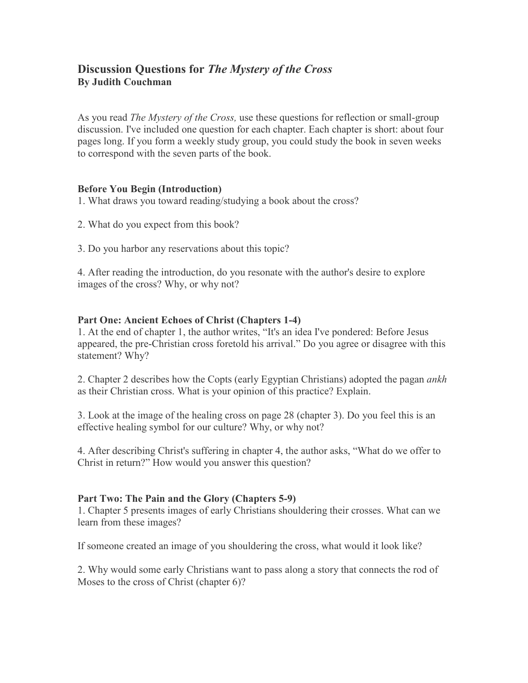# **Discussion Questions for** *The Mystery of the Cross* **By Judith Couchman**

As you read *The Mystery of the Cross,* use these questions for reflection or small-group discussion. I've included one question for each chapter. Each chapter is short: about four pages long. If you form a weekly study group, you could study the book in seven weeks to correspond with the seven parts of the book.

### **Before You Begin (Introduction)**

1. What draws you toward reading/studying a book about the cross?

- 2. What do you expect from this book?
- 3. Do you harbor any reservations about this topic?

4. After reading the introduction, do you resonate with the author's desire to explore images of the cross? Why, or why not?

### **Part One: Ancient Echoes of Christ (Chapters 1-4)**

1. At the end of chapter 1, the author writes, "It's an idea I've pondered: Before Jesus appeared, the pre-Christian cross foretold his arrival." Do you agree or disagree with this statement? Why?

2. Chapter 2 describes how the Copts (early Egyptian Christians) adopted the pagan *ankh* as their Christian cross. What is your opinion of this practice? Explain.

3. Look at the image of the healing cross on page 28 (chapter 3). Do you feel this is an effective healing symbol for our culture? Why, or why not?

4. After describing Christ's suffering in chapter 4, the author asks, "What do we offer to Christ in return?" How would you answer this question?

### **Part Two: The Pain and the Glory (Chapters 5-9)**

1. Chapter 5 presents images of early Christians shouldering their crosses. What can we learn from these images?

If someone created an image of you shouldering the cross, what would it look like?

2. Why would some early Christians want to pass along a story that connects the rod of Moses to the cross of Christ (chapter 6)?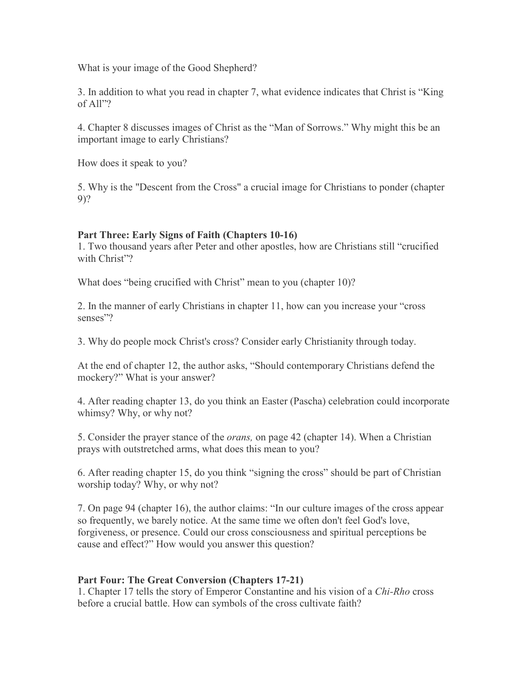What is your image of the Good Shepherd?

3. In addition to what you read in chapter 7, what evidence indicates that Christ is "King of All"?

4. Chapter 8 discusses images of Christ as the "Man of Sorrows." Why might this be an important image to early Christians?

How does it speak to you?

5. Why is the "Descent from the Cross" a crucial image for Christians to ponder (chapter 9)?

# **Part Three: Early Signs of Faith (Chapters 10-16)**

1. Two thousand years after Peter and other apostles, how are Christians still "crucified with Christ"?

What does "being crucified with Christ" mean to you (chapter 10)?

2. In the manner of early Christians in chapter 11, how can you increase your "cross senses"?

3. Why do people mock Christ's cross? Consider early Christianity through today.

At the end of chapter 12, the author asks, "Should contemporary Christians defend the mockery?" What is your answer?

4. After reading chapter 13, do you think an Easter (Pascha) celebration could incorporate whimsy? Why, or why not?

5. Consider the prayer stance of the *orans,* on page 42 (chapter 14). When a Christian prays with outstretched arms, what does this mean to you?

6. After reading chapter 15, do you think "signing the cross" should be part of Christian worship today? Why, or why not?

7. On page 94 (chapter 16), the author claims: "In our culture images of the cross appear so frequently, we barely notice. At the same time we often don't feel God's love, forgiveness, or presence. Could our cross consciousness and spiritual perceptions be cause and effect?" How would you answer this question?

# **Part Four: The Great Conversion (Chapters 17-21)**

1. Chapter 17 tells the story of Emperor Constantine and his vision of a *Chi-Rho* cross before a crucial battle. How can symbols of the cross cultivate faith?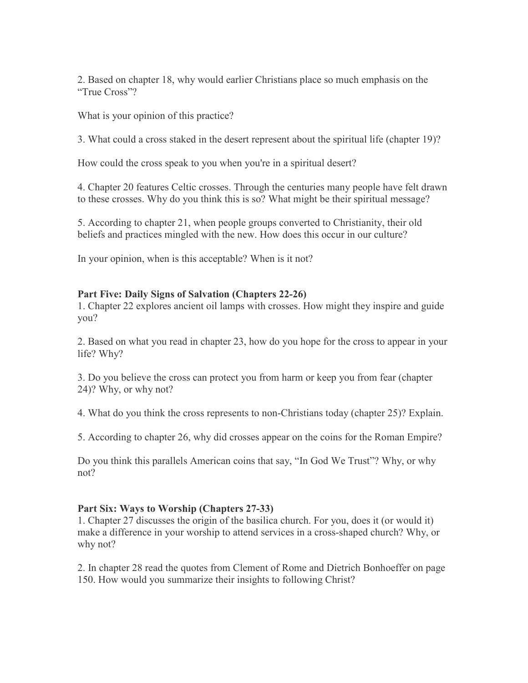2. Based on chapter 18, why would earlier Christians place so much emphasis on the "True Cross"?

What is your opinion of this practice?

3. What could a cross staked in the desert represent about the spiritual life (chapter 19)?

How could the cross speak to you when you're in a spiritual desert?

4. Chapter 20 features Celtic crosses. Through the centuries many people have felt drawn to these crosses. Why do you think this is so? What might be their spiritual message?

5. According to chapter 21, when people groups converted to Christianity, their old beliefs and practices mingled with the new. How does this occur in our culture?

In your opinion, when is this acceptable? When is it not?

### **Part Five: Daily Signs of Salvation (Chapters 22-26)**

1. Chapter 22 explores ancient oil lamps with crosses. How might they inspire and guide you?

2. Based on what you read in chapter 23, how do you hope for the cross to appear in your life? Why?

3. Do you believe the cross can protect you from harm or keep you from fear (chapter 24)? Why, or why not?

4. What do you think the cross represents to non-Christians today (chapter 25)? Explain.

5. According to chapter 26, why did crosses appear on the coins for the Roman Empire?

Do you think this parallels American coins that say, "In God We Trust"? Why, or why not?

### **Part Six: Ways to Worship (Chapters 27-33)**

1. Chapter 27 discusses the origin of the basilica church. For you, does it (or would it) make a difference in your worship to attend services in a cross-shaped church? Why, or why not?

2. In chapter 28 read the quotes from Clement of Rome and Dietrich Bonhoeffer on page 150. How would you summarize their insights to following Christ?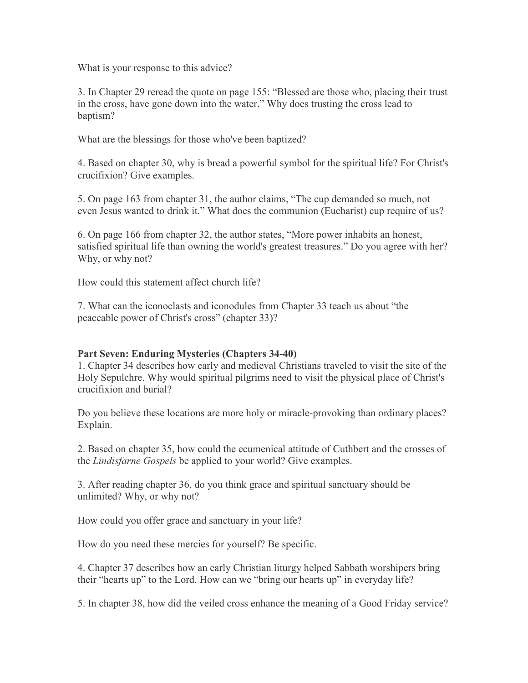What is your response to this advice?

3. In Chapter 29 reread the quote on page 155: "Blessed are those who, placing their trust in the cross, have gone down into the water." Why does trusting the cross lead to baptism?

What are the blessings for those who've been baptized?

4. Based on chapter 30, why is bread a powerful symbol for the spiritual life? For Christ's crucifixion? Give examples.

5. On page 163 from chapter 31, the author claims, "The cup demanded so much, not even Jesus wanted to drink it." What does the communion (Eucharist) cup require of us?

6. On page 166 from chapter 32, the author states, "More power inhabits an honest, satisfied spiritual life than owning the world's greatest treasures." Do you agree with her? Why, or why not?

How could this statement affect church life?

7. What can the iconoclasts and iconodules from Chapter 33 teach us about "the peaceable power of Christ's cross" (chapter 33)?

## **Part Seven: Enduring Mysteries (Chapters 34-40)**

1. Chapter 34 describes how early and medieval Christians traveled to visit the site of the Holy Sepulchre. Why would spiritual pilgrims need to visit the physical place of Christ's crucifixion and burial?

Do you believe these locations are more holy or miracle-provoking than ordinary places? Explain.

2. Based on chapter 35, how could the ecumenical attitude of Cuthbert and the crosses of the *Lindisfarne Gospels* be applied to your world? Give examples.

3. After reading chapter 36, do you think grace and spiritual sanctuary should be unlimited? Why, or why not?

How could you offer grace and sanctuary in your life?

How do you need these mercies for yourself? Be specific.

4. Chapter 37 describes how an early Christian liturgy helped Sabbath worshipers bring their "hearts up" to the Lord. How can we "bring our hearts up" in everyday life?

5. In chapter 38, how did the veiled cross enhance the meaning of a Good Friday service?